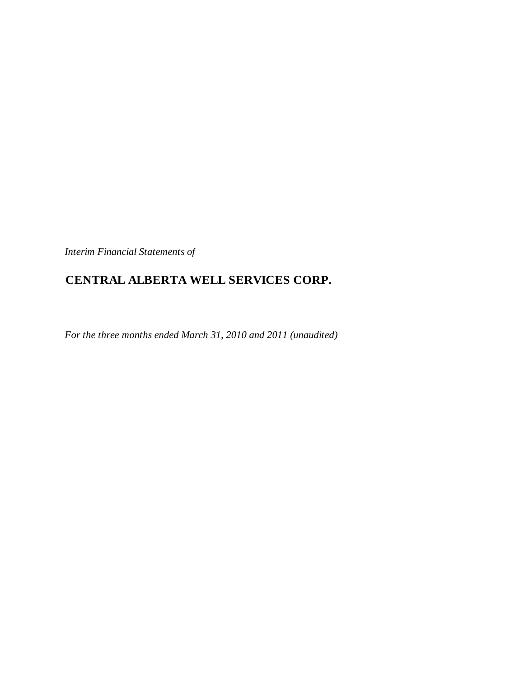*Interim Financial Statements of*

# **CENTRAL ALBERTA WELL SERVICES CORP.**

*For the three months ended March 31, 2010 and 2011 (unaudited)*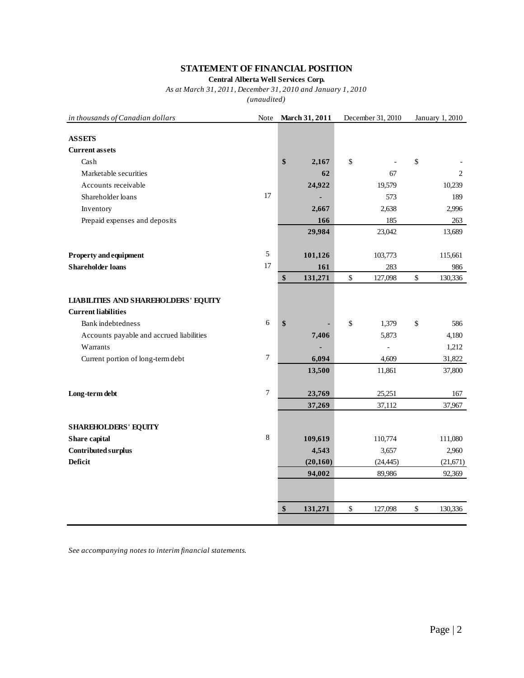## **STATEMENT OF FINANCIAL POSITION**

**Central Alberta Well Services Corp.**

*As at March 31, 2011, December 31, 2010 and January 1, 2010*

*(unaudited)*

| in thousands of Canadian dollars            | Note             | March 31, 2011 | December 31, 2010 |           |             | January 1, 2010 |
|---------------------------------------------|------------------|----------------|-------------------|-----------|-------------|-----------------|
| <b>ASSETS</b>                               |                  |                |                   |           |             |                 |
| <b>Current assets</b>                       |                  |                |                   |           |             |                 |
| Cash                                        |                  | \$<br>2,167    | \$                |           | \$          |                 |
| Marketable securities                       |                  | 62             |                   | 67        |             | 2               |
| Accounts receivable                         |                  | 24,922         |                   | 19,579    |             | 10,239          |
| Shareholder loans                           | 17               |                |                   | 573       |             | 189             |
| Inventory                                   |                  | 2,667          |                   | 2,638     |             | 2,996           |
| Prepaid expenses and deposits               |                  | 166            |                   | 185       |             | 263             |
|                                             |                  | 29,984         |                   | 23,042    |             | 13,689          |
|                                             |                  |                |                   |           |             |                 |
| <b>Property and equipment</b>               | 5                | 101,126        |                   | 103,773   |             | 115,661         |
| <b>Shareholder loans</b>                    | 17               | 161            |                   | 283       |             | 986             |
|                                             |                  | \$<br>131,271  | $\mathbb{S}$      | 127,098   | $\mathbb S$ | 130,336         |
|                                             |                  |                |                   |           |             |                 |
| <b>LIABILITIES AND SHAREHOLDERS' EQUITY</b> |                  |                |                   |           |             |                 |
| <b>Current liabilities</b>                  |                  |                |                   |           |             |                 |
| <b>Bank</b> indebtedness                    | 6                | \$             | \$                | 1,379     | \$          | 586             |
| Accounts payable and accrued liabilities    |                  | 7,406          |                   | 5,873     |             | 4,180           |
| Warrants                                    |                  |                |                   |           |             | 1,212           |
| Current portion of long-term debt           | $\overline{7}$   | 6,094          |                   | 4,609     |             | 31,822          |
|                                             |                  | 13,500         |                   | 11,861    |             | 37,800          |
| Long-term debt                              | $\boldsymbol{7}$ | 23,769         |                   | 25,251    |             | 167             |
|                                             |                  | 37,269         |                   | 37,112    |             | 37,967          |
|                                             |                  |                |                   |           |             |                 |
| <b>SHAREHOLDERS' EQUITY</b>                 |                  |                |                   |           |             |                 |
| Share capital                               | $\,8\,$          | 109,619        |                   | 110,774   |             | 111,080         |
| Contributed surplus                         |                  | 4,543          |                   | 3,657     |             | 2,960           |
| <b>Deficit</b>                              |                  | (20, 160)      |                   | (24, 445) |             | (21, 671)       |
|                                             |                  | 94,002         |                   | 89,986    |             | 92,369          |
|                                             |                  |                |                   |           |             |                 |
|                                             |                  | \$<br>131,271  | $\mathbb{S}$      | 127,098   | \$          | 130,336         |
|                                             |                  |                |                   |           |             |                 |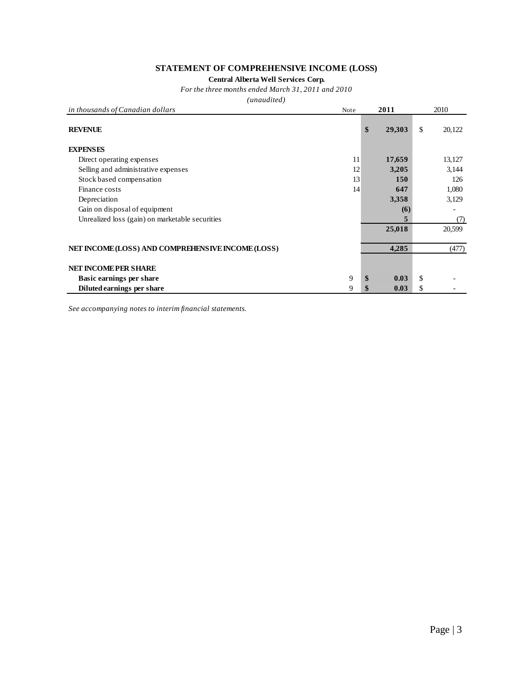### **STATEMENT OF COMPREHENSIVE INCOME (LOSS)**

**Central Alberta Well Services Corp.**

*For the three months ended March 31, 2011 and 2010*

*(unaudited)*

| in thousands of Canadian dollars                  | Note | 2011         | 2010         |
|---------------------------------------------------|------|--------------|--------------|
| <b>REVENUE</b>                                    |      | \$<br>29,303 | \$<br>20,122 |
| <b>EXPENSES</b>                                   |      |              |              |
| Direct operating expenses                         | 11   | 17,659       | 13,127       |
| Selling and administrative expenses               | 12   | 3,205        | 3,144        |
| Stock based compensation                          | 13   | <b>150</b>   | 126          |
| Finance costs                                     | 14   | 647          | 1,080        |
| Depreciation                                      |      | 3,358        | 3,129        |
| Gain on disposal of equipment                     |      | (6)          |              |
| Unrealized loss (gain) on marketable securities   |      |              | (7)          |
|                                                   |      | 25,018       | 20,599       |
|                                                   |      |              |              |
| NET INCOME (LOSS) AND COMPREHENSIVE INCOME (LOSS) |      | 4,285        | (477)        |
| <b>NET INCOMEPER SHARE</b>                        |      |              |              |
| Basic earnings per share                          | 9    | \$<br>0.03   | \$           |
| Diluted earnings per share                        | 9    | \$<br>0.03   | \$           |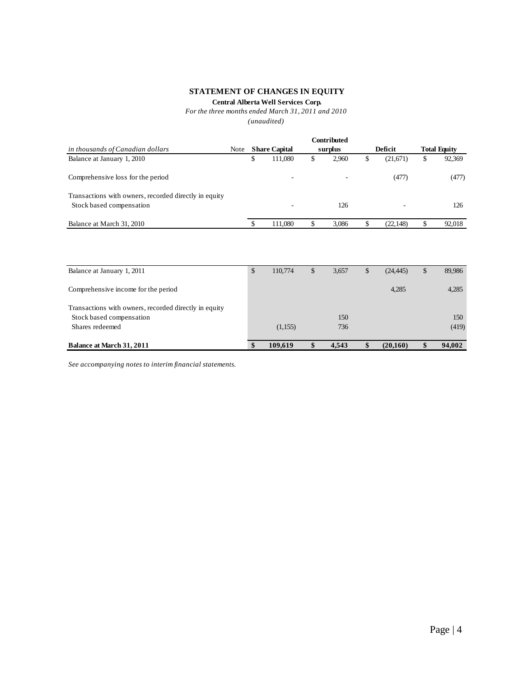### **STATEMENT OF CHANGES IN EQUITY**

### **Central Alberta Well Services Corp.**

### *For the three months ended March 31, 2011 and 2010*

*(unaudited)*

|                                                                                   |      |   |                          | <b>Contributed</b> |                |   |                     |
|-----------------------------------------------------------------------------------|------|---|--------------------------|--------------------|----------------|---|---------------------|
| in thousands of Canadian dollars                                                  | Note |   | <b>Share Capital</b>     | surplus            | Deficit        |   | <b>Total Equity</b> |
| Balance at January 1, 2010                                                        |      | D | 111.080                  | \$<br>2.960        | \$<br>(21,671) | ъ | 92,369              |
| Comprehensive loss for the period                                                 |      |   | $\overline{\phantom{a}}$ |                    | (477)          |   | (477)               |
| Transactions with owners, recorded directly in equity<br>Stock based compensation |      |   | $\overline{\phantom{a}}$ | 126                |                |   | 126                 |
| Balance at March 31, 2010                                                         |      |   | 111.080                  | \$<br>3.086        | \$<br>(22.148) |   | 92,018              |

| Balance at January 1, 2011                                                        | $\mathbb{S}$ | 110,774 | \$<br>3,657 | $\mathbb{S}$ | (24, 445) | \$<br>89,986 |
|-----------------------------------------------------------------------------------|--------------|---------|-------------|--------------|-----------|--------------|
| Comprehensive income for the period                                               |              |         |             |              | 4,285     | 4,285        |
| Transactions with owners, recorded directly in equity<br>Stock based compensation |              |         | 150         |              |           | 150          |
| Shares redeemed                                                                   |              | (1,155) | 736         |              |           | (419)        |
| Balance at March 31, 2011                                                         | <b>S</b>     | 109.619 | \$<br>4.543 | S            | (20,160)  | 94,002       |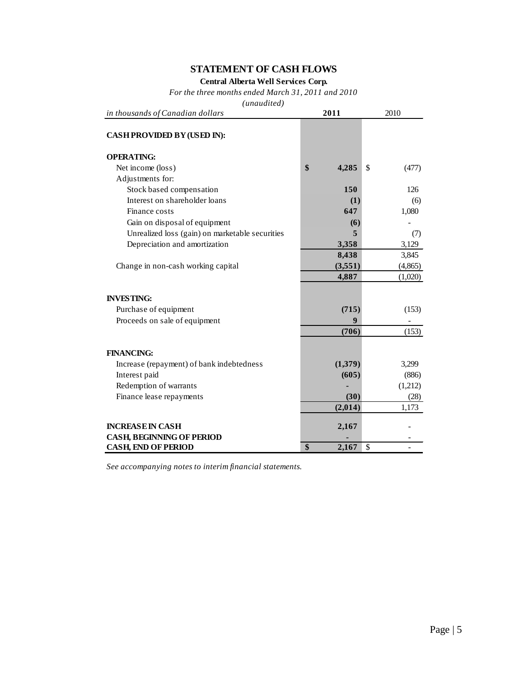## **STATEMENT OF CASH FLOWS**

**Central Alberta Well Services Corp.**

*For the three months ended March 31, 2011 and 2010*

*(unaudited)*

| in thousands of Canadian dollars                | 2011        | 2010        |  |  |
|-------------------------------------------------|-------------|-------------|--|--|
| <b>CASH PROVIDED BY (USED IN):</b>              |             |             |  |  |
| <b>OPERATING:</b>                               |             |             |  |  |
| Net income (loss)                               | \$<br>4,285 | \$<br>(477) |  |  |
| Adjustments for:                                |             |             |  |  |
| Stock based compensation                        | 150         | 126         |  |  |
| Interest on shareholder loans                   | (1)         | (6)         |  |  |
| Finance costs                                   | 647         | 1,080       |  |  |
| Gain on disposal of equipment                   | (6)         |             |  |  |
| Unrealized loss (gain) on marketable securities | 5           | (7)         |  |  |
| Depreciation and amortization                   | 3,358       | 3,129       |  |  |
|                                                 | 8,438       | 3,845       |  |  |
| Change in non-cash working capital              | (3,551)     | (4, 865)    |  |  |
|                                                 | 4,887       | (1,020)     |  |  |
|                                                 |             |             |  |  |
| <b>INVESTING:</b>                               |             |             |  |  |
| Purchase of equipment                           | (715)       | (153)       |  |  |
| Proceeds on sale of equipment                   | 9           |             |  |  |
|                                                 | (706)       | (153)       |  |  |
|                                                 |             |             |  |  |
| <b>FINANCING:</b>                               |             |             |  |  |
| Increase (repayment) of bank indebtedness       | (1,379)     | 3,299       |  |  |
| Interest paid                                   | (605)       | (886)       |  |  |
| Redemption of warrants                          |             | (1,212)     |  |  |
| Finance lease repayments                        | (30)        | (28)        |  |  |
|                                                 | (2,014)     | 1,173       |  |  |
| <b>INCREASE IN CASH</b>                         | 2,167       |             |  |  |
| <b>CASH, BEGINNING OF PERIOD</b>                |             |             |  |  |
| <b>CASH, END OF PERIOD</b>                      | \$<br>2,167 | \$          |  |  |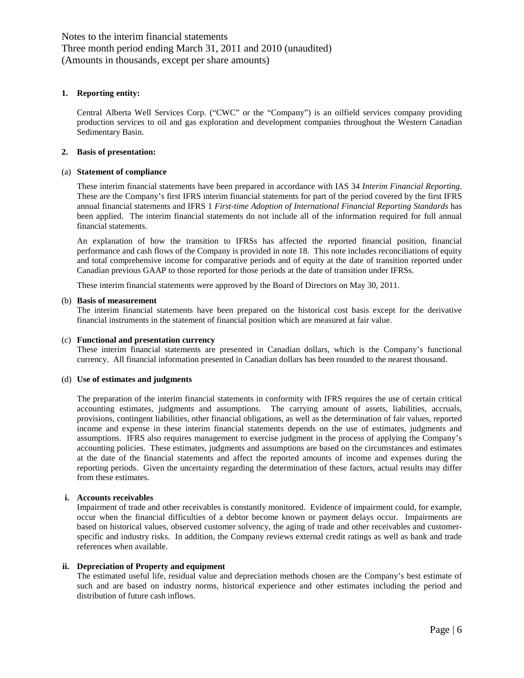### **1. Reporting entity:**

Central Alberta Well Services Corp. ("CWC" or the "Company") is an oilfield services company providing production services to oil and gas exploration and development companies throughout the Western Canadian Sedimentary Basin.

### **2. Basis of presentation:**

### (a) **Statement of compliance**

These interim financial statements have been prepared in accordance with IAS 34 *Interim Financial Reporting.*  These are the Company's first IFRS interim financial statements for part of the period covered by the first IFRS annual financial statements and IFRS 1 *First-time Adoption of International Financial Reporting Standards* has been applied. The interim financial statements do not include all of the information required for full annual financial statements.

An explanation of how the transition to IFRSs has affected the reported financial position, financial performance and cash flows of the Company is provided in note 18. This note includes reconciliations of equity and total comprehensive income for comparative periods and of equity at the date of transition reported under Canadian previous GAAP to those reported for those periods at the date of transition under IFRSs.

These interim financial statements were approved by the Board of Directors on May 30, 2011.

### (b) **Basis of measurement**

The interim financial statements have been prepared on the historical cost basis except for the derivative financial instruments in the statement of financial position which are measured at fair value.

#### (c) **Functional and presentation currency**

These interim financial statements are presented in Canadian dollars, which is the Company's functional currency. All financial information presented in Canadian dollars has been rounded to the nearest thousand.

### (d) **Use of estimates and judgments**

The preparation of the interim financial statements in conformity with IFRS requires the use of certain critical accounting estimates, judgments and assumptions. The carrying amount of assets, liabilities, accruals, provisions, contingent liabilities, other financial obligations, as well as the determination of fair values, reported income and expense in these interim financial statements depends on the use of estimates, judgments and assumptions. IFRS also requires management to exercise judgment in the process of applying the Company's accounting policies. These estimates, judgments and assumptions are based on the circumstances and estimates at the date of the financial statements and affect the reported amounts of income and expenses during the reporting periods. Given the uncertainty regarding the determination of these factors, actual results may differ from these estimates.

### **i. Accounts receivables**

Impairment of trade and other receivables is constantly monitored. Evidence of impairment could, for example, occur when the financial difficulties of a debtor become known or payment delays occur. Impairments are based on historical values, observed customer solvency, the aging of trade and other receivables and customerspecific and industry risks. In addition, the Company reviews external credit ratings as well as bank and trade references when available.

### **ii. Depreciation of Property and equipment**

The estimated useful life, residual value and depreciation methods chosen are the Company's best estimate of such and are based on industry norms, historical experience and other estimates including the period and distribution of future cash inflows.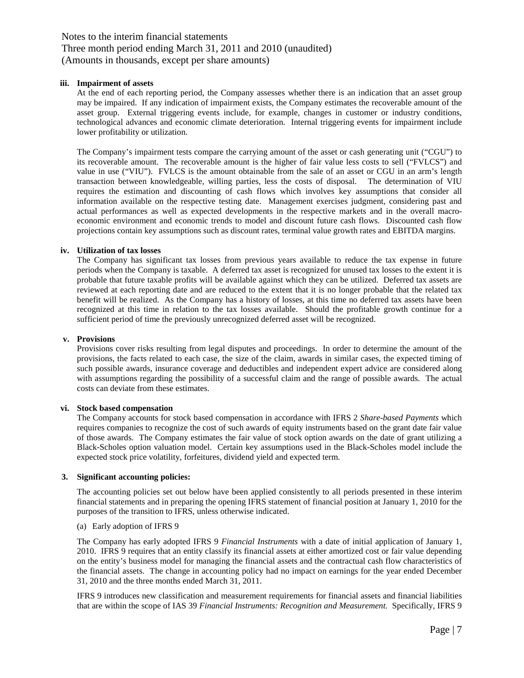### **iii. Impairment of assets**

At the end of each reporting period, the Company assesses whether there is an indication that an asset group may be impaired. If any indication of impairment exists, the Company estimates the recoverable amount of the asset group. External triggering events include, for example, changes in customer or industry conditions, technological advances and economic climate deterioration. Internal triggering events for impairment include lower profitability or utilization.

The Company's impairment tests compare the carrying amount of the asset or cash generating unit ("CGU") to its recoverable amount. The recoverable amount is the higher of fair value less costs to sell ("FVLCS") and value in use ("VIU"). FVLCS is the amount obtainable from the sale of an asset or CGU in an arm's length transaction between knowledgeable, willing parties, less the costs of disposal. The determination of VIU requires the estimation and discounting of cash flows which involves key assumptions that consider all information available on the respective testing date. Management exercises judgment, considering past and actual performances as well as expected developments in the respective markets and in the overall macroeconomic environment and economic trends to model and discount future cash flows. Discounted cash flow projections contain key assumptions such as discount rates, terminal value growth rates and EBITDA margins.

### **iv. Utilization of tax losses**

The Company has significant tax losses from previous years available to reduce the tax expense in future periods when the Company is taxable. A deferred tax asset is recognized for unused tax losses to the extent it is probable that future taxable profits will be available against which they can be utilized. Deferred tax assets are reviewed at each reporting date and are reduced to the extent that it is no longer probable that the related tax benefit will be realized. As the Company has a history of losses, at this time no deferred tax assets have been recognized at this time in relation to the tax losses available. Should the profitable growth continue for a sufficient period of time the previously unrecognized deferred asset will be recognized.

### **v. Provisions**

Provisions cover risks resulting from legal disputes and proceedings. In order to determine the amount of the provisions, the facts related to each case, the size of the claim, awards in similar cases, the expected timing of such possible awards, insurance coverage and deductibles and independent expert advice are considered along with assumptions regarding the possibility of a successful claim and the range of possible awards. The actual costs can deviate from these estimates.

### **vi. Stock based compensation**

The Company accounts for stock based compensation in accordance with IFRS 2 *Share-based Payments* which requires companies to recognize the cost of such awards of equity instruments based on the grant date fair value of those awards. The Company estimates the fair value of stock option awards on the date of grant utilizing a Black-Scholes option valuation model. Certain key assumptions used in the Black-Scholes model include the expected stock price volatility, forfeitures, dividend yield and expected term.

### **3. Significant accounting policies:**

The accounting policies set out below have been applied consistently to all periods presented in these interim financial statements and in preparing the opening IFRS statement of financial position at January 1, 2010 for the purposes of the transition to IFRS, unless otherwise indicated.

### (a) Early adoption of IFRS 9

The Company has early adopted IFRS 9 *Financial Instruments* with a date of initial application of January 1, 2010. IFRS 9 requires that an entity classify its financial assets at either amortized cost or fair value depending on the entity's business model for managing the financial assets and the contractual cash flow characteristics of the financial assets. The change in accounting policy had no impact on earnings for the year ended December 31, 2010 and the three months ended March 31, 2011.

IFRS 9 introduces new classification and measurement requirements for financial assets and financial liabilities that are within the scope of IAS 39 *Financial Instruments: Recognition and Measurement.* Specifically, IFRS 9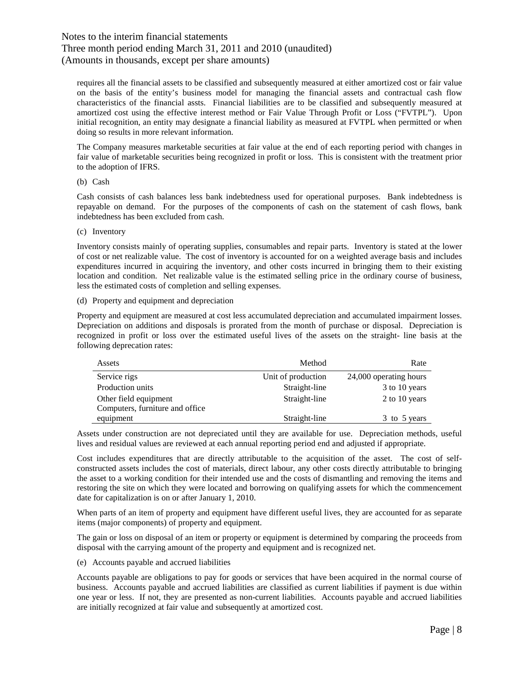### Three month period ending March 31, 2011 and 2010 (unaudited) (Amounts in thousands, except per share amounts)

requires all the financial assets to be classified and subsequently measured at either amortized cost or fair value on the basis of the entity's business model for managing the financial assets and contractual cash flow characteristics of the financial assts. Financial liabilities are to be classified and subsequently measured at amortized cost using the effective interest method or Fair Value Through Profit or Loss ("FVTPL"). Upon initial recognition, an entity may designate a financial liability as measured at FVTPL when permitted or when doing so results in more relevant information.

The Company measures marketable securities at fair value at the end of each reporting period with changes in fair value of marketable securities being recognized in profit or loss. This is consistent with the treatment prior to the adoption of IFRS.

(b) Cash

Cash consists of cash balances less bank indebtedness used for operational purposes. Bank indebtedness is repayable on demand. For the purposes of the components of cash on the statement of cash flows, bank indebtedness has been excluded from cash.

(c) Inventory

Inventory consists mainly of operating supplies, consumables and repair parts. Inventory is stated at the lower of cost or net realizable value. The cost of inventory is accounted for on a weighted average basis and includes expenditures incurred in acquiring the inventory, and other costs incurred in bringing them to their existing location and condition. Net realizable value is the estimated selling price in the ordinary course of business, less the estimated costs of completion and selling expenses.

(d) Property and equipment and depreciation

Property and equipment are measured at cost less accumulated depreciation and accumulated impairment losses. Depreciation on additions and disposals is prorated from the month of purchase or disposal. Depreciation is recognized in profit or loss over the estimated useful lives of the assets on the straight- line basis at the following deprecation rates:

| Assets                          | Method             | Rate                   |
|---------------------------------|--------------------|------------------------|
| Service rigs                    | Unit of production | 24,000 operating hours |
| Production units                | Straight-line      | 3 to 10 years          |
| Other field equipment           | Straight-line      | 2 to 10 years          |
| Computers, furniture and office |                    |                        |
| equipment                       | Straight-line      | 3 to 5 years           |

Assets under construction are not depreciated until they are available for use. Depreciation methods, useful lives and residual values are reviewed at each annual reporting period end and adjusted if appropriate.

Cost includes expenditures that are directly attributable to the acquisition of the asset. The cost of selfconstructed assets includes the cost of materials, direct labour, any other costs directly attributable to bringing the asset to a working condition for their intended use and the costs of dismantling and removing the items and restoring the site on which they were located and borrowing on qualifying assets for which the commencement date for capitalization is on or after January 1, 2010.

When parts of an item of property and equipment have different useful lives, they are accounted for as separate items (major components) of property and equipment.

The gain or loss on disposal of an item or property or equipment is determined by comparing the proceeds from disposal with the carrying amount of the property and equipment and is recognized net.

(e) Accounts payable and accrued liabilities

Accounts payable are obligations to pay for goods or services that have been acquired in the normal course of business. Accounts payable and accrued liabilities are classified as current liabilities if payment is due within one year or less. If not, they are presented as non-current liabilities. Accounts payable and accrued liabilities are initially recognized at fair value and subsequently at amortized cost.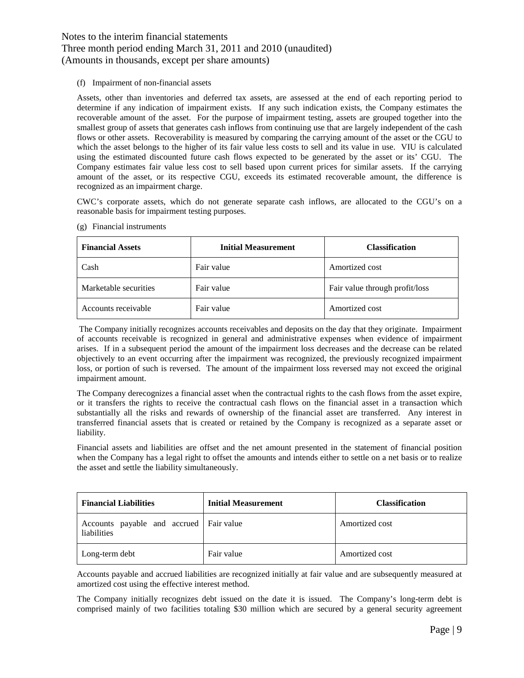(f) Impairment of non-financial assets

Assets, other than inventories and deferred tax assets, are assessed at the end of each reporting period to determine if any indication of impairment exists. If any such indication exists, the Company estimates the recoverable amount of the asset. For the purpose of impairment testing, assets are grouped together into the smallest group of assets that generates cash inflows from continuing use that are largely independent of the cash flows or other assets. Recoverability is measured by comparing the carrying amount of the asset or the CGU to which the asset belongs to the higher of its fair value less costs to sell and its value in use. VIU is calculated using the estimated discounted future cash flows expected to be generated by the asset or its' CGU. The Company estimates fair value less cost to sell based upon current prices for similar assets. If the carrying amount of the asset, or its respective CGU, exceeds its estimated recoverable amount, the difference is recognized as an impairment charge.

CWC's corporate assets, which do not generate separate cash inflows, are allocated to the CGU's on a reasonable basis for impairment testing purposes.

- **Financial Assets Initial Measurement Classification** Cash Fair value Amortized cost Marketable securities Fair value Fair value Fair value through profit/loss Accounts receivable Fair value Amortized cost
- (g) Financial instruments

The Company initially recognizes accounts receivables and deposits on the day that they originate. Impairment of accounts receivable is recognized in general and administrative expenses when evidence of impairment arises. If in a subsequent period the amount of the impairment loss decreases and the decrease can be related objectively to an event occurring after the impairment was recognized, the previously recognized impairment loss, or portion of such is reversed. The amount of the impairment loss reversed may not exceed the original impairment amount.

The Company derecognizes a financial asset when the contractual rights to the cash flows from the asset expire, or it transfers the rights to receive the contractual cash flows on the financial asset in a transaction which substantially all the risks and rewards of ownership of the financial asset are transferred. Any interest in transferred financial assets that is created or retained by the Company is recognized as a separate asset or liability.

Financial assets and liabilities are offset and the net amount presented in the statement of financial position when the Company has a legal right to offset the amounts and intends either to settle on a net basis or to realize the asset and settle the liability simultaneously.

| <b>Financial Liabilities</b>                           | <b>Initial Measurement</b> | <b>Classification</b> |
|--------------------------------------------------------|----------------------------|-----------------------|
| Accounts payable and accrued Fair value<br>liabilities |                            | Amortized cost        |
| Long-term debt                                         | Fair value                 | Amortized cost        |

Accounts payable and accrued liabilities are recognized initially at fair value and are subsequently measured at amortized cost using the effective interest method.

The Company initially recognizes debt issued on the date it is issued. The Company's long-term debt is comprised mainly of two facilities totaling \$30 million which are secured by a general security agreement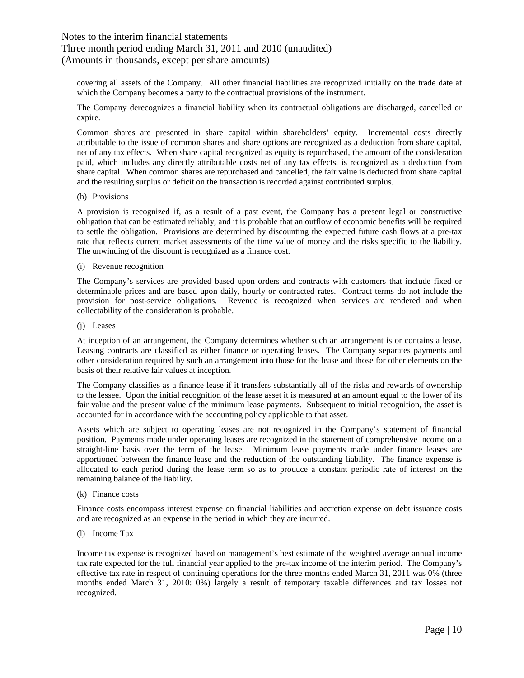### Three month period ending March 31, 2011 and 2010 (unaudited) (Amounts in thousands, except per share amounts)

covering all assets of the Company. All other financial liabilities are recognized initially on the trade date at which the Company becomes a party to the contractual provisions of the instrument.

The Company derecognizes a financial liability when its contractual obligations are discharged, cancelled or expire.

Common shares are presented in share capital within shareholders' equity. Incremental costs directly attributable to the issue of common shares and share options are recognized as a deduction from share capital, net of any tax effects. When share capital recognized as equity is repurchased, the amount of the consideration paid, which includes any directly attributable costs net of any tax effects, is recognized as a deduction from share capital. When common shares are repurchased and cancelled, the fair value is deducted from share capital and the resulting surplus or deficit on the transaction is recorded against contributed surplus.

(h) Provisions

A provision is recognized if, as a result of a past event, the Company has a present legal or constructive obligation that can be estimated reliably, and it is probable that an outflow of economic benefits will be required to settle the obligation. Provisions are determined by discounting the expected future cash flows at a pre-tax rate that reflects current market assessments of the time value of money and the risks specific to the liability. The unwinding of the discount is recognized as a finance cost.

(i) Revenue recognition

The Company's services are provided based upon orders and contracts with customers that include fixed or determinable prices and are based upon daily, hourly or contracted rates. Contract terms do not include the provision for post-service obligations. Revenue is recognized when services are rendered and when collectability of the consideration is probable.

(j) Leases

At inception of an arrangement, the Company determines whether such an arrangement is or contains a lease. Leasing contracts are classified as either finance or operating leases. The Company separates payments and other consideration required by such an arrangement into those for the lease and those for other elements on the basis of their relative fair values at inception.

The Company classifies as a finance lease if it transfers substantially all of the risks and rewards of ownership to the lessee. Upon the initial recognition of the lease asset it is measured at an amount equal to the lower of its fair value and the present value of the minimum lease payments. Subsequent to initial recognition, the asset is accounted for in accordance with the accounting policy applicable to that asset.

Assets which are subject to operating leases are not recognized in the Company's statement of financial position. Payments made under operating leases are recognized in the statement of comprehensive income on a straight-line basis over the term of the lease. Minimum lease payments made under finance leases are apportioned between the finance lease and the reduction of the outstanding liability. The finance expense is allocated to each period during the lease term so as to produce a constant periodic rate of interest on the remaining balance of the liability.

### (k) Finance costs

Finance costs encompass interest expense on financial liabilities and accretion expense on debt issuance costs and are recognized as an expense in the period in which they are incurred.

(l) Income Tax

Income tax expense is recognized based on management's best estimate of the weighted average annual income tax rate expected for the full financial year applied to the pre-tax income of the interim period. The Company's effective tax rate in respect of continuing operations for the three months ended March 31, 2011 was 0% (three months ended March 31, 2010: 0%) largely a result of temporary taxable differences and tax losses not recognized.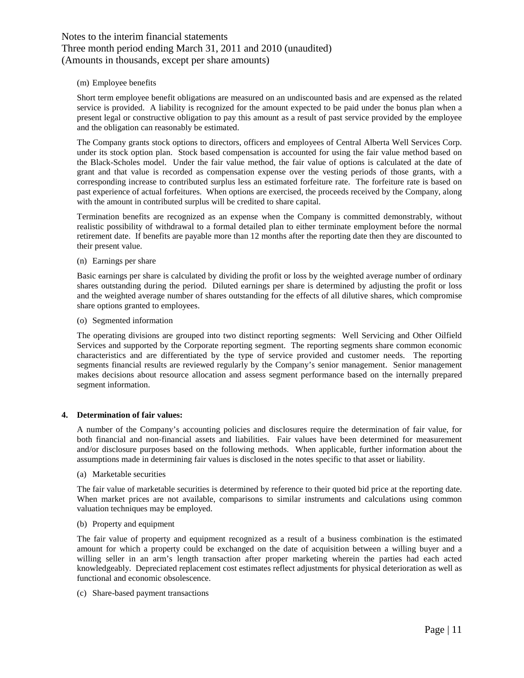### (m) Employee benefits

Short term employee benefit obligations are measured on an undiscounted basis and are expensed as the related service is provided. A liability is recognized for the amount expected to be paid under the bonus plan when a present legal or constructive obligation to pay this amount as a result of past service provided by the employee and the obligation can reasonably be estimated.

The Company grants stock options to directors, officers and employees of Central Alberta Well Services Corp. under its stock option plan. Stock based compensation is accounted for using the fair value method based on the Black-Scholes model. Under the fair value method, the fair value of options is calculated at the date of grant and that value is recorded as compensation expense over the vesting periods of those grants, with a corresponding increase to contributed surplus less an estimated forfeiture rate. The forfeiture rate is based on past experience of actual forfeitures. When options are exercised, the proceeds received by the Company, along with the amount in contributed surplus will be credited to share capital.

Termination benefits are recognized as an expense when the Company is committed demonstrably, without realistic possibility of withdrawal to a formal detailed plan to either terminate employment before the normal retirement date. If benefits are payable more than 12 months after the reporting date then they are discounted to their present value.

### (n) Earnings per share

Basic earnings per share is calculated by dividing the profit or loss by the weighted average number of ordinary shares outstanding during the period. Diluted earnings per share is determined by adjusting the profit or loss and the weighted average number of shares outstanding for the effects of all dilutive shares, which compromise share options granted to employees.

(o) Segmented information

The operating divisions are grouped into two distinct reporting segments: Well Servicing and Other Oilfield Services and supported by the Corporate reporting segment. The reporting segments share common economic characteristics and are differentiated by the type of service provided and customer needs. The reporting segments financial results are reviewed regularly by the Company's senior management. Senior management makes decisions about resource allocation and assess segment performance based on the internally prepared segment information.

### **4. Determination of fair values:**

A number of the Company's accounting policies and disclosures require the determination of fair value, for both financial and non-financial assets and liabilities. Fair values have been determined for measurement and/or disclosure purposes based on the following methods. When applicable, further information about the assumptions made in determining fair values is disclosed in the notes specific to that asset or liability.

(a) Marketable securities

The fair value of marketable securities is determined by reference to their quoted bid price at the reporting date. When market prices are not available, comparisons to similar instruments and calculations using common valuation techniques may be employed.

### (b) Property and equipment

The fair value of property and equipment recognized as a result of a business combination is the estimated amount for which a property could be exchanged on the date of acquisition between a willing buyer and a willing seller in an arm's length transaction after proper marketing wherein the parties had each acted knowledgeably. Depreciated replacement cost estimates reflect adjustments for physical deterioration as well as functional and economic obsolescence.

(c) Share-based payment transactions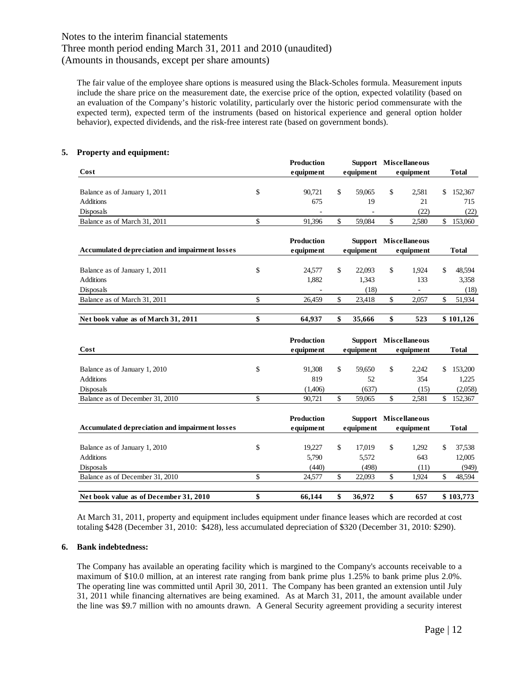Three month period ending March 31, 2011 and 2010 (unaudited) (Amounts in thousands, except per share amounts)

The fair value of the employee share options is measured using the Black-Scholes formula. Measurement inputs include the share price on the measurement date, the exercise price of the option, expected volatility (based on an evaluation of the Company's historic volatility, particularly over the historic period commensurate with the expected term), expected term of the instruments (based on historical experience and general option holder behavior), expected dividends, and the risk-free interest rate (based on government bonds).

### **5. Property and equipment:**

|                                                | <b>Production</b> |                | <b>Support</b> Miscellaneous |               |              |
|------------------------------------------------|-------------------|----------------|------------------------------|---------------|--------------|
| Cost                                           | equipment         | equipment      | equipment                    |               | <b>Total</b> |
|                                                |                   |                |                              |               |              |
| Balance as of January 1, 2011                  | \$<br>90,721      | \$<br>59,065   | \$<br>2,581                  | \$            | 152,367      |
| <b>Additions</b>                               | 675               | 19             | 21                           |               | 715          |
| Disposals                                      |                   |                | (22)                         |               | (22)         |
| Balance as of March 31, 2011                   | \$<br>91,396      | \$<br>59,084   | \$<br>2,580                  | \$            | 153,060      |
|                                                |                   |                |                              |               |              |
|                                                | Production        | <b>Support</b> | <b>Miscellaneous</b>         |               |              |
| Accumulated depreciation and impairment losses | equipment         | equipment      | equipment                    |               | <b>Total</b> |
| Balance as of January 1, 2011                  | \$<br>24,577      | \$<br>22,093   | \$<br>1,924                  | \$            | 48,594       |
| <b>Additions</b>                               | 1,882             | 1,343          | 133                          |               | 3,358        |
| Disposals                                      |                   | (18)           |                              |               | (18)         |
| Balance as of March 31, 2011                   | \$<br>26,459      | \$<br>23,418   | \$<br>2,057                  | $\mathsf{\$}$ | 51,934       |
|                                                |                   |                |                              |               |              |
| Net book value as of March 31, 2011            | \$<br>64,937      | \$<br>35,666   | \$<br>523                    |               | \$101,126    |
|                                                |                   |                |                              |               |              |
|                                                | Production        |                | Support Miscellaneous        |               |              |
| Cost                                           | equipment         | equipment      | equipment                    |               | <b>Total</b> |
|                                                |                   |                |                              |               |              |
| Balance as of January 1, 2010                  | \$<br>91,308      | \$<br>59,650   | \$<br>2,242                  | \$            | 153,200      |
| <b>Additions</b>                               | 819               | 52             | 354                          |               | 1,225        |
| Disposals                                      | (1,406)           | (637)          | (15)                         |               | (2,058)      |
| Balance as of December 31, 2010                | \$<br>90,721      | \$<br>59,065   | \$<br>2,581                  | \$            | 152,367      |
|                                                |                   |                |                              |               |              |
|                                                | Production        |                | Support Miscellaneous        |               |              |
| Accumulated depreciation and impairment losses | equipment         | equipment      | equipment                    |               | <b>Total</b> |
| Balance as of January 1, 2010                  | \$<br>19,227      | \$<br>17,019   | \$<br>1,292                  | \$            | 37,538       |
| <b>Additions</b>                               | 5.790             | 5.572          | 643                          |               | 12,005       |
| Disposals                                      | (440)             | (498)          | (11)                         |               | (949)        |
|                                                |                   |                |                              |               |              |
| Balance as of December 31, 2010                | \$<br>24,577      | \$<br>22,093   | \$<br>1,924                  | \$            | 48,594       |
|                                                |                   |                |                              |               |              |

At March 31, 2011, property and equipment includes equipment under finance leases which are recorded at cost totaling \$428 (December 31, 2010: \$428), less accumulated depreciation of \$320 (December 31, 2010: \$290).

### **6. Bank indebtedness:**

The Company has available an operating facility which is margined to the Company's accounts receivable to a maximum of \$10.0 million, at an interest rate ranging from bank prime plus 1.25% to bank prime plus 2.0%. The operating line was committed until April 30, 2011. The Company has been granted an extension until July 31, 2011 while financing alternatives are being examined. As at March 31, 2011, the amount available under the line was \$9.7 million with no amounts drawn. A General Security agreement providing a security interest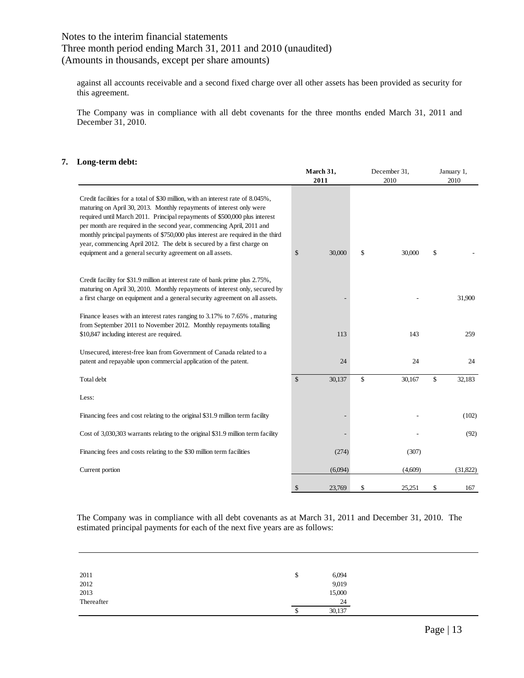### Three month period ending March 31, 2011 and 2010 (unaudited) (Amounts in thousands, except per share amounts)

against all accounts receivable and a second fixed charge over all other assets has been provided as security for this agreement.

The Company was in compliance with all debt covenants for the three months ended March 31, 2011 and December 31, 2010.

### **7. Long-term debt:**

|                                                                                                                                                                                                                                                                                                                                                                                                                                                                                                                                         | March 31,<br>2011 | December 31,<br>2010 | January 1,<br>2010 |
|-----------------------------------------------------------------------------------------------------------------------------------------------------------------------------------------------------------------------------------------------------------------------------------------------------------------------------------------------------------------------------------------------------------------------------------------------------------------------------------------------------------------------------------------|-------------------|----------------------|--------------------|
| Credit facilities for a total of \$30 million, with an interest rate of 8.045%,<br>maturing on April 30, 2013. Monthly repayments of interest only were<br>required until March 2011. Principal repayments of \$500,000 plus interest<br>per month are required in the second year, commencing April, 2011 and<br>monthly principal payments of \$750,000 plus interest are required in the third<br>year, commencing April 2012. The debt is secured by a first charge on<br>equipment and a general security agreement on all assets. | \$<br>30,000      | \$<br>30,000         | \$                 |
| Credit facility for \$31.9 million at interest rate of bank prime plus 2.75%,<br>maturing on April 30, 2010. Monthly repayments of interest only, secured by<br>a first charge on equipment and a general security agreement on all assets.                                                                                                                                                                                                                                                                                             |                   |                      | 31,900             |
| Finance leases with an interest rates ranging to 3.17% to 7.65%, maturing<br>from September 2011 to November 2012. Monthly repayments totalling<br>\$10,847 including interest are required.                                                                                                                                                                                                                                                                                                                                            | 113               | 143                  | 259                |
| Unsecured, interest-free loan from Government of Canada related to a<br>patent and repayable upon commercial application of the patent.                                                                                                                                                                                                                                                                                                                                                                                                 | 24                | 24                   | 24                 |
| Total debt                                                                                                                                                                                                                                                                                                                                                                                                                                                                                                                              | \$<br>30,137      | \$<br>30,167         | \$<br>32,183       |
| Less:                                                                                                                                                                                                                                                                                                                                                                                                                                                                                                                                   |                   |                      |                    |
| Financing fees and cost relating to the original \$31.9 million term facility                                                                                                                                                                                                                                                                                                                                                                                                                                                           |                   |                      | (102)              |
| Cost of 3,030,303 warrants relating to the original \$31.9 million term facility                                                                                                                                                                                                                                                                                                                                                                                                                                                        |                   |                      | (92)               |
| Financing fees and costs relating to the \$30 million term facilities                                                                                                                                                                                                                                                                                                                                                                                                                                                                   | (274)             | (307)                |                    |
| Current portion                                                                                                                                                                                                                                                                                                                                                                                                                                                                                                                         | (6,094)           | (4,609)              | (31,822)           |
|                                                                                                                                                                                                                                                                                                                                                                                                                                                                                                                                         | \$<br>23,769      | \$<br>25,251         | \$<br>167          |

The Company was in compliance with all debt covenants as at March 31, 2011 and December 31, 2010. The estimated principal payments for each of the next five years are as follows:

| 2011       | \$ | 6,094  |
|------------|----|--------|
| 2012       |    | 9,019  |
| 2013       |    | 15,000 |
| Thereafter |    | 24     |
|            | S  | 30,137 |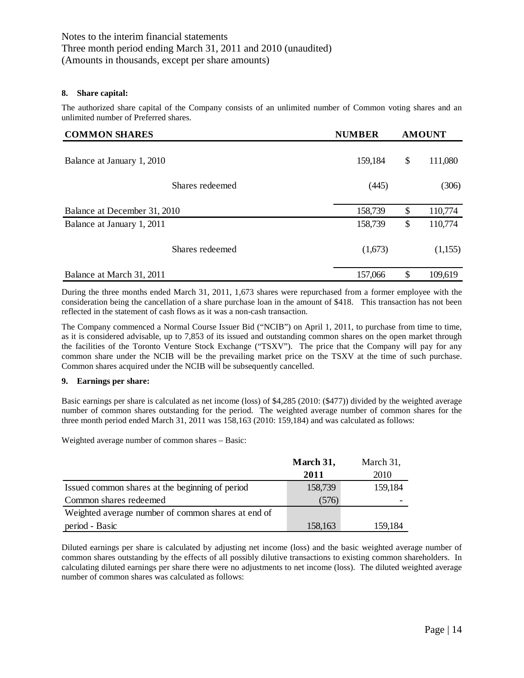### **8. Share capital:**

The authorized share capital of the Company consists of an unlimited number of Common voting shares and an unlimited number of Preferred shares.

| <b>COMMON SHARES</b>         |                 | <b>NUMBER</b> | <b>AMOUNT</b>             |         |  |
|------------------------------|-----------------|---------------|---------------------------|---------|--|
| Balance at January 1, 2010   |                 | 159,184       | \$                        | 111,080 |  |
|                              | Shares redeemed | (445)         |                           | (306)   |  |
| Balance at December 31, 2010 |                 | 158,739       | $\boldsymbol{\mathsf{S}}$ | 110,774 |  |
| Balance at January 1, 2011   |                 | 158,739       | \$                        | 110,774 |  |
|                              | Shares redeemed | (1,673)       |                           | (1,155) |  |
| Balance at March 31, 2011    |                 | 157,066       | \$                        | 109,619 |  |

During the three months ended March 31, 2011, 1,673 shares were repurchased from a former employee with the consideration being the cancellation of a share purchase loan in the amount of \$418. This transaction has not been reflected in the statement of cash flows as it was a non-cash transaction.

The Company commenced a Normal Course Issuer Bid ("NCIB") on April 1, 2011, to purchase from time to time, as it is considered advisable, up to 7,853 of its issued and outstanding common shares on the open market through the facilities of the Toronto Venture Stock Exchange ("TSXV"). The price that the Company will pay for any common share under the NCIB will be the prevailing market price on the TSXV at the time of such purchase. Common shares acquired under the NCIB will be subsequently cancelled.

### **9. Earnings per share:**

Basic earnings per share is calculated as net income (loss) of \$4,285 (2010: (\$477)) divided by the weighted average number of common shares outstanding for the period. The weighted average number of common shares for the three month period ended March 31, 2011 was 158,163 (2010: 159,184) and was calculated as follows:

Weighted average number of common shares – Basic:

|                                                    | March 31, | March 31, |
|----------------------------------------------------|-----------|-----------|
|                                                    | 2011      | 2010      |
| Issued common shares at the beginning of period    | 158,739   | 159,184   |
| Common shares redeemed                             | (576)     |           |
| Weighted average number of common shares at end of |           |           |
| period - Basic                                     | 158,163   | 159,184   |

Diluted earnings per share is calculated by adjusting net income (loss) and the basic weighted average number of common shares outstanding by the effects of all possibly dilutive transactions to existing common shareholders. In calculating diluted earnings per share there were no adjustments to net income (loss). The diluted weighted average number of common shares was calculated as follows: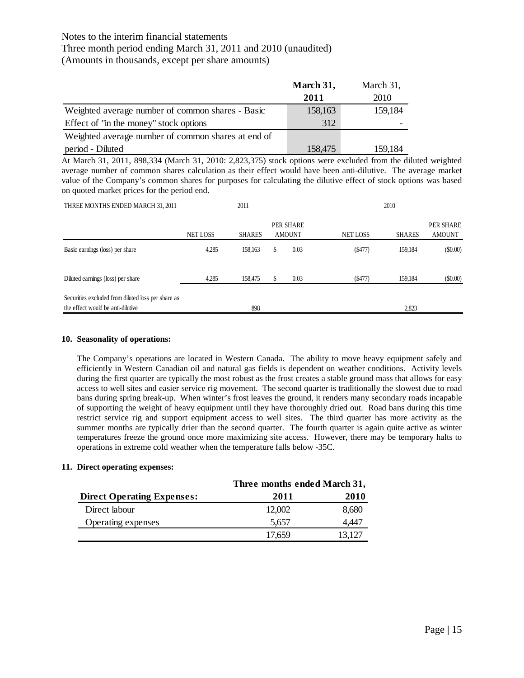### Three month period ending March 31, 2011 and 2010 (unaudited)

(Amounts in thousands, except per share amounts)

|                                                    | March 31, | March 31, |
|----------------------------------------------------|-----------|-----------|
|                                                    | 2011      | 2010      |
| Weighted average number of common shares - Basic   | 158,163   | 159,184   |
| Effect of "in the money" stock options             | 312       |           |
| Weighted average number of common shares at end of |           |           |
| period - Diluted                                   | 158,475   | 159,184   |

At March 31, 2011, 898,334 (March 31, 2010: 2,823,375) stock options were excluded from the diluted weighted average number of common shares calculation as their effect would have been anti-dilutive. The average market value of the Company's common shares for purposes for calculating the dilutive effect of stock options was based on quoted market prices for the period end.

| THREE MONTHS ENDED MARCH 31, 2011                                                       |                 | 2011          |   |                            |                 | 2010          |                            |
|-----------------------------------------------------------------------------------------|-----------------|---------------|---|----------------------------|-----------------|---------------|----------------------------|
|                                                                                         | <b>NET LOSS</b> | <b>SHARES</b> |   | PER SHARE<br><b>AMOUNT</b> | <b>NET LOSS</b> | <b>SHARES</b> | PER SHARE<br><b>AMOUNT</b> |
| Basic earnings (loss) per share                                                         | 4,285           | 158,163       | S | 0.03                       | (S477)          | 159,184       | $($ \$0.00)                |
| Diluted earnings (loss) per share                                                       | 4.285           | 158,475       |   | 0.03                       | ( \$477)        | 159,184       | $($ \$0.00)                |
| Securities excluded from diluted loss per share as<br>the effect would be anti-dilutive |                 | 898           |   |                            |                 | 2,823         |                            |

### **10. Seasonality of operations:**

The Company's operations are located in Western Canada. The ability to move heavy equipment safely and efficiently in Western Canadian oil and natural gas fields is dependent on weather conditions. Activity levels during the first quarter are typically the most robust as the frost creates a stable ground mass that allows for easy access to well sites and easier service rig movement. The second quarter is traditionally the slowest due to road bans during spring break-up. When winter's frost leaves the ground, it renders many secondary roads incapable of supporting the weight of heavy equipment until they have thoroughly dried out. Road bans during this time restrict service rig and support equipment access to well sites. The third quarter has more activity as the summer months are typically drier than the second quarter. The fourth quarter is again quite active as winter temperatures freeze the ground once more maximizing site access. However, there may be temporary halts to operations in extreme cold weather when the temperature falls below -35C.

### **11. Direct operating expenses:**

|                                   | Three months ended March 31, |             |  |
|-----------------------------------|------------------------------|-------------|--|
| <b>Direct Operating Expenses:</b> | 2011                         | <b>2010</b> |  |
| Direct labour                     | 12,002                       | 8,680       |  |
| Operating expenses                | 5.657                        | 4.447       |  |
|                                   | 17.659                       | 13.127      |  |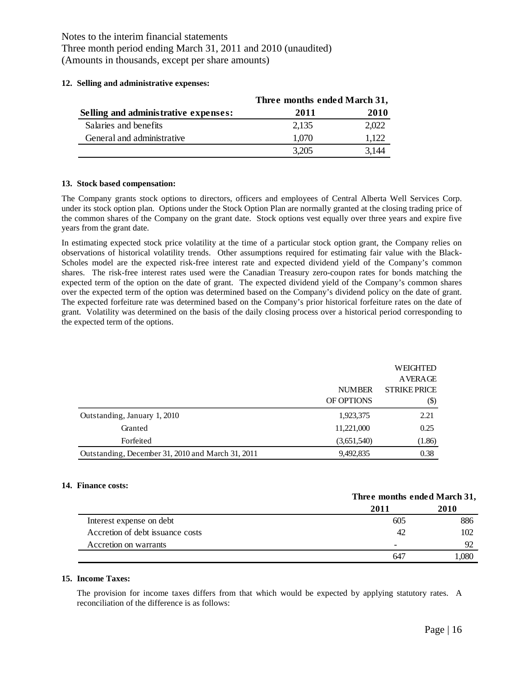### **12. Selling and administrative expenses:**

|                                      | Three months ended March 31, |       |  |
|--------------------------------------|------------------------------|-------|--|
| Selling and administrative expenses: | 2011                         | 2010  |  |
| Salaries and benefits                | 2.135                        | 2.022 |  |
| General and administrative           | 1,070                        | 1.122 |  |
|                                      | 3.205                        | 3 144 |  |

### **13. Stock based compensation:**

The Company grants stock options to directors, officers and employees of Central Alberta Well Services Corp. under its stock option plan. Options under the Stock Option Plan are normally granted at the closing trading price of the common shares of the Company on the grant date. Stock options vest equally over three years and expire five years from the grant date.

In estimating expected stock price volatility at the time of a particular stock option grant, the Company relies on observations of historical volatility trends. Other assumptions required for estimating fair value with the Black-Scholes model are the expected risk-free interest rate and expected dividend yield of the Company's common shares. The risk-free interest rates used were the Canadian Treasury zero-coupon rates for bonds matching the expected term of the option on the date of grant. The expected dividend yield of the Company's common shares over the expected term of the option was determined based on the Company's dividend policy on the date of grant. The expected forfeiture rate was determined based on the Company's prior historical forfeiture rates on the date of grant. Volatility was determined on the basis of the daily closing process over a historical period corresponding to the expected term of the options.

|                                                   |               | WEIGHTED                  |
|---------------------------------------------------|---------------|---------------------------|
|                                                   |               | AVERAGE                   |
|                                                   | <b>NUMBER</b> | <b>STRIKE PRICE</b>       |
|                                                   | OF OPTIONS    | $\left( \text{\$}\right)$ |
| Outstanding, January 1, 2010                      | 1,923,375     | 2.21                      |
| Granted                                           | 11,221,000    | 0.25                      |
| Forfeited                                         | (3,651,540)   | (1.86)                    |
| Outstanding, December 31, 2010 and March 31, 2011 | 9,492,835     | 0.38                      |

### **14. Finance costs:**

|                                  | THREE HIGHES CHUCU BLUE CH, |      |  |  |
|----------------------------------|-----------------------------|------|--|--|
|                                  | 2011                        | 2010 |  |  |
| Interest expense on debt         | 605                         | 886  |  |  |
| Accretion of debt issuance costs | 42                          | 102  |  |  |
| Accretion on warrants            |                             | 92   |  |  |
|                                  | 647                         | .080 |  |  |

### **15. Income Taxes:**

The provision for income taxes differs from that which would be expected by applying statutory rates. A reconciliation of the difference is as follows:

**Three months ended March 31,**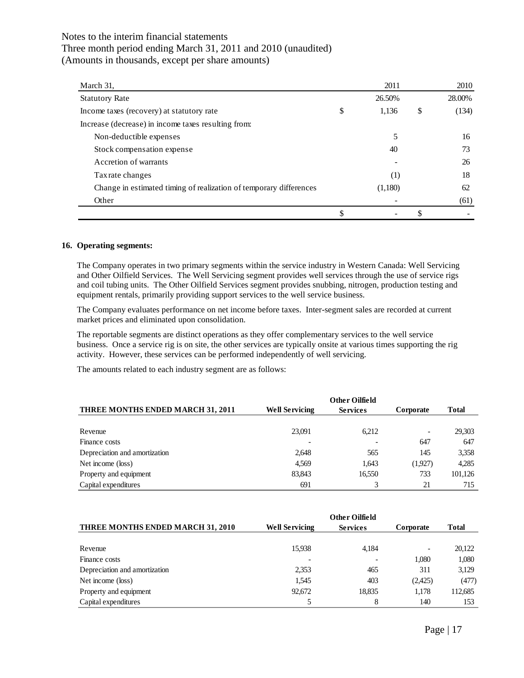| March 31,                                                          | 2011        | 2010        |
|--------------------------------------------------------------------|-------------|-------------|
| <b>Statutory Rate</b>                                              | 26.50%      | 28.00%      |
| Income taxes (recovery) at statutory rate                          | \$<br>1,136 | \$<br>(134) |
| Increase (decrease) in income taxes resulting from:                |             |             |
| Non-deductible expenses                                            |             | 16          |
| Stock compensation expense                                         | 40          | 73          |
| Accretion of warrants                                              |             | 26          |
| Tax rate changes                                                   | (1)         | 18          |
| Change in estimated timing of realization of temporary differences | (1,180)     | 62          |
| Other                                                              |             | (61)        |
|                                                                    |             |             |

### **16. Operating segments:**

The Company operates in two primary segments within the service industry in Western Canada: Well Servicing and Other Oilfield Services. The Well Servicing segment provides well services through the use of service rigs and coil tubing units. The Other Oilfield Services segment provides snubbing, nitrogen, production testing and equipment rentals, primarily providing support services to the well service business.

The Company evaluates performance on net income before taxes. Inter-segment sales are recorded at current market prices and eliminated upon consolidation.

The reportable segments are distinct operations as they offer complementary services to the well service business. Once a service rig is on site, the other services are typically onsite at various times supporting the rig activity. However, these services can be performed independently of well servicing.

The amounts related to each industry segment are as follows:

|                                          | <b>Other Oilfield</b> |                 |                          |              |  |  |
|------------------------------------------|-----------------------|-----------------|--------------------------|--------------|--|--|
| <b>THREE MONTHS ENDED MARCH 31, 2011</b> | <b>Well Servicing</b> | <b>Services</b> | Corporate                | <b>Total</b> |  |  |
|                                          |                       |                 |                          |              |  |  |
| Revenue                                  | 23,091                | 6.212           | $\overline{\phantom{a}}$ | 29,303       |  |  |
| Finance costs                            |                       |                 | 647                      | 647          |  |  |
| Depreciation and amortization            | 2,648                 | 565             | 145                      | 3,358        |  |  |
| Net income (loss)                        | 4.569                 | 1.643           | (1,927)                  | 4,285        |  |  |
| Property and equipment                   | 83,843                | 16,550          | 733                      | 101,126      |  |  |
| Capital expenditures                     | 691                   |                 | 21                       | 715          |  |  |

| <b>THREE MONTHS ENDED MARCH 31, 2010</b> | <b>Well Servicing</b> | <b>Services</b> | Corporate | <b>Total</b> |
|------------------------------------------|-----------------------|-----------------|-----------|--------------|
|                                          |                       |                 |           |              |
| Revenue                                  | 15,938                | 4,184           |           | 20,122       |
| Finance costs                            |                       |                 | 1.080     | 1,080        |
| Depreciation and amortization            | 2,353                 | 465             | 311       | 3,129        |
| Net income (loss)                        | 1,545                 | 403             | (2,425)   | (477)        |
| Property and equipment                   | 92.672                | 18,835          | 1.178     | 112,685      |
| Capital expenditures                     |                       | 8               | 140       | 153          |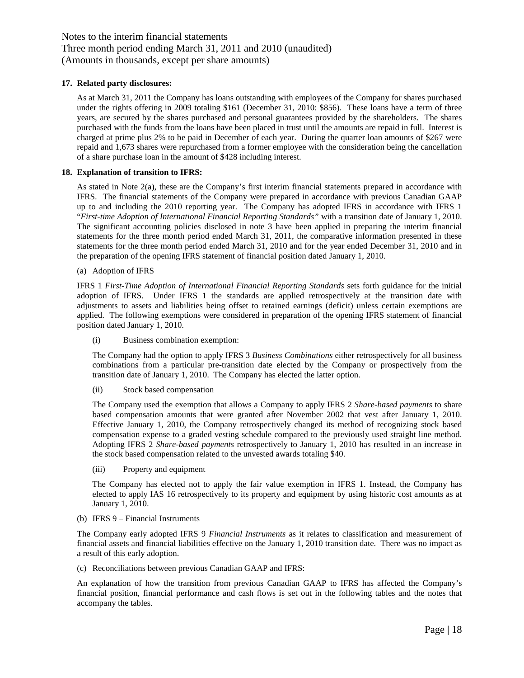### **17. Related party disclosures:**

As at March 31, 2011 the Company has loans outstanding with employees of the Company for shares purchased under the rights offering in 2009 totaling \$161 (December 31, 2010: \$856). These loans have a term of three years, are secured by the shares purchased and personal guarantees provided by the shareholders. The shares purchased with the funds from the loans have been placed in trust until the amounts are repaid in full. Interest is charged at prime plus 2% to be paid in December of each year. During the quarter loan amounts of \$267 were repaid and 1,673 shares were repurchased from a former employee with the consideration being the cancellation of a share purchase loan in the amount of \$428 including interest.

### **18. Explanation of transition to IFRS:**

As stated in Note 2(a), these are the Company's first interim financial statements prepared in accordance with IFRS. The financial statements of the Company were prepared in accordance with previous Canadian GAAP up to and including the 2010 reporting year. The Company has adopted IFRS in accordance with IFRS 1 "*First-time Adoption of International Financial Reporting Standards"* with a transition date of January 1, 2010. The significant accounting policies disclosed in note 3 have been applied in preparing the interim financial statements for the three month period ended March 31, 2011, the comparative information presented in these statements for the three month period ended March 31, 2010 and for the year ended December 31, 2010 and in the preparation of the opening IFRS statement of financial position dated January 1, 2010.

### (a) Adoption of IFRS

IFRS 1 *First-Time Adoption of International Financial Reporting Standards* sets forth guidance for the initial adoption of IFRS. Under IFRS 1 the standards are applied retrospectively at the transition date with adjustments to assets and liabilities being offset to retained earnings (deficit) unless certain exemptions are applied. The following exemptions were considered in preparation of the opening IFRS statement of financial position dated January 1, 2010.

(i) Business combination exemption:

The Company had the option to apply IFRS 3 *Business Combinations* either retrospectively for all business combinations from a particular pre-transition date elected by the Company or prospectively from the transition date of January 1, 2010. The Company has elected the latter option.

(ii) Stock based compensation

The Company used the exemption that allows a Company to apply IFRS 2 *Share-based payments* to share based compensation amounts that were granted after November 2002 that vest after January 1, 2010. Effective January 1, 2010, the Company retrospectively changed its method of recognizing stock based compensation expense to a graded vesting schedule compared to the previously used straight line method. Adopting IFRS 2 *Share-based payments* retrospectively to January 1, 2010 has resulted in an increase in the stock based compensation related to the unvested awards totaling \$40.

(iii) Property and equipment

The Company has elected not to apply the fair value exemption in IFRS 1. Instead, the Company has elected to apply IAS 16 retrospectively to its property and equipment by using historic cost amounts as at January 1, 2010.

### (b) IFRS 9 – Financial Instruments

The Company early adopted IFRS 9 *Financial Instruments* as it relates to classification and measurement of financial assets and financial liabilities effective on the January 1, 2010 transition date. There was no impact as a result of this early adoption.

(c) Reconciliations between previous Canadian GAAP and IFRS:

An explanation of how the transition from previous Canadian GAAP to IFRS has affected the Company's financial position, financial performance and cash flows is set out in the following tables and the notes that accompany the tables.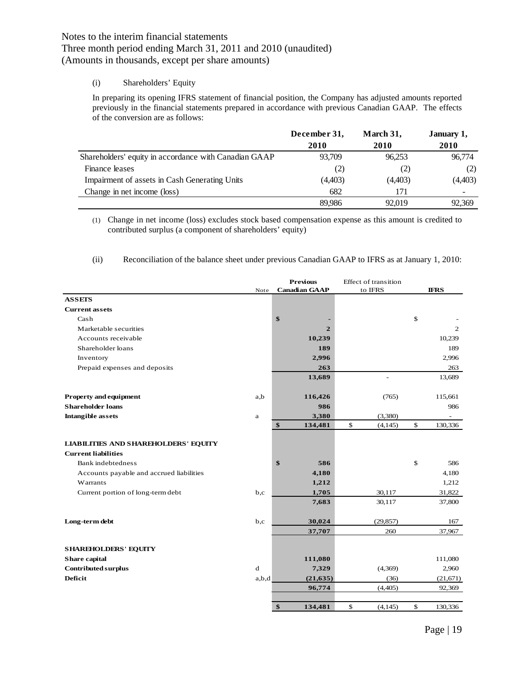### (i) Shareholders' Equity

In preparing its opening IFRS statement of financial position, the Company has adjusted amounts reported previously in the financial statements prepared in accordance with previous Canadian GAAP. The effects of the conversion are as follows:

|                                                       | December 31, | March 31, | January 1, |
|-------------------------------------------------------|--------------|-----------|------------|
|                                                       | 2010         | 2010      | 2010       |
| Shareholders' equity in accordance with Canadian GAAP | 93.709       | 96.253    | 96,774     |
| Finance leases                                        | (2)          | (2)       | (2)        |
| Impairment of assets in Cash Generating Units         | (4,403)      | (4,403)   | (4,403)    |
| Change in net income (loss)                           | 682          | 171       |            |
|                                                       | 89.986       | 92,019    | 92,369     |

(1) Change in net income (loss) excludes stock based compensation expense as this amount is credited to contributed surplus (a component of shareholders' equity)

(ii) Reconciliation of the balance sheet under previous Canadian GAAP to IFRS as at January 1, 2010:

|                                             |             | <b>Previous</b>              | Effect of transition |      |                |
|---------------------------------------------|-------------|------------------------------|----------------------|------|----------------|
|                                             | Note        | <b>Canadian GAAP</b>         | to IFRS              |      | <b>IFRS</b>    |
| <b>ASSETS</b>                               |             |                              |                      |      |                |
| <b>Current assets</b>                       |             |                              |                      |      |                |
| Cash                                        |             | \$                           |                      | \$   |                |
| Marketable securities                       |             | $\mathbf{2}$                 |                      |      | $\overline{2}$ |
| Accounts receivable                         |             | 10,239                       |                      |      | 10,239         |
| Shareholder loans                           |             | 189                          |                      |      | 189            |
| Inventory                                   |             | 2,996                        |                      |      | 2,996          |
| Prepaid expenses and deposits               |             | 263                          |                      |      | 263            |
|                                             |             | 13,689                       |                      |      | 13,689         |
| Property and equipment                      | a,b         | 116,426                      | (765)                |      | 115,661        |
| <b>Shareholder loans</b>                    |             | 986                          |                      |      | 986            |
| <b>Intangible assets</b>                    | a           | 3,380                        | (3,380)              |      |                |
|                                             |             | $\boldsymbol{\$}$<br>134,481 | \$<br>(4, 145)       | $\$$ | 130,336        |
| <b>LIABILITIES AND SHAREHOLDERS' EQUITY</b> |             |                              |                      |      |                |
| <b>Current liabilities</b>                  |             |                              |                      |      |                |
| Bank indebtedness                           |             | \$<br>586                    |                      | \$   | 586            |
| Accounts payable and accrued liabilities    |             | 4,180                        |                      |      | 4,180          |
| Warrants                                    |             | 1,212                        |                      |      | 1,212          |
| Current portion of long-term debt           | b,c         | 1,705                        | 30,117               |      | 31,822         |
|                                             |             | 7,683                        | 30,117               |      | 37,800         |
| Long-term debt                              | b,c         | 30,024                       | (29, 857)            |      | 167            |
|                                             |             | 37,707                       | 260                  |      | 37,967         |
| <b>SHAREHOLDERS' EQUITY</b>                 |             |                              |                      |      |                |
| Share capital                               |             | 111,080                      |                      |      | 111,080        |
| Contributed surplus                         | $\mathbf d$ | 7,329                        | (4,369)              |      | 2,960          |
| <b>Deficit</b>                              | a,b,d       | (21, 635)                    | (36)                 |      | (21,671)       |
|                                             |             | 96,774                       | (4, 405)             |      | 92,369         |
|                                             |             | \$<br>134,481                | \$<br>(4, 145)       | \$   | 130,336        |
|                                             |             |                              |                      |      |                |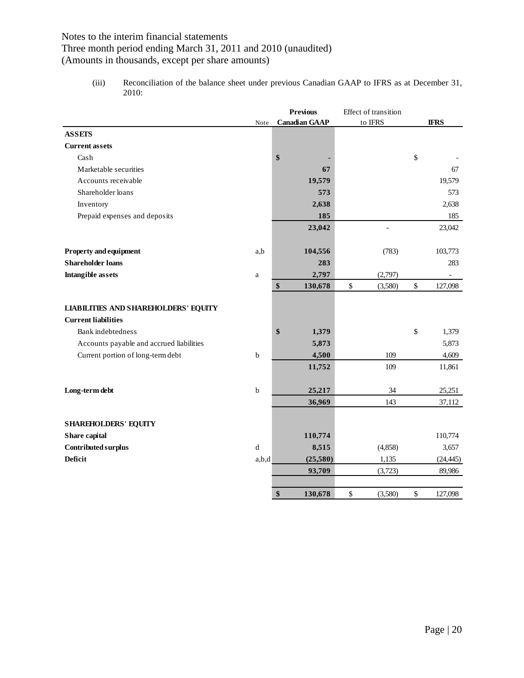## Three month period ending March 31, 2011 and 2010 (unaudited)

(Amounts in thousands, except per share amounts)

(iii) Reconciliation of the balance sheet under previous Canadian GAAP to IFRS as at December 31, 2010:

|                                             |             | <b>Previous</b>      | Effect of transition |               |
|---------------------------------------------|-------------|----------------------|----------------------|---------------|
|                                             | Note        | <b>Canadian GAAP</b> | to IFRS              | <b>IFRS</b>   |
| <b>ASSETS</b>                               |             |                      |                      |               |
| <b>Current assets</b>                       |             |                      |                      |               |
| Cash                                        |             | \$                   |                      | \$            |
| Marketable securities                       |             | 67                   |                      | 67            |
| Accounts receivable                         |             | 19,579               |                      | 19,579        |
| Shareholder loans                           |             | 573                  |                      | 573           |
| Inventory                                   |             | 2,638                |                      | 2,638         |
| Prepaid expenses and deposits               |             | 185                  |                      | 185           |
|                                             |             | 23,042               |                      | 23,042        |
| <b>Property and equipment</b>               | a,b         | 104,556              | (783)                | 103,773       |
| <b>Shareholder loans</b>                    |             | 283                  |                      | 283           |
| <b>Intangible assets</b>                    | $\rm{a}$    | 2,797                | (2,797)              |               |
|                                             |             | \$<br>130,678        | \$<br>(3,580)        | \$<br>127,098 |
| <b>LIABILITIES AND SHAREHOLDERS' EQUITY</b> |             |                      |                      |               |
| <b>Current liabilities</b>                  |             |                      |                      |               |
| Bank indebtedness                           |             | \$<br>1,379          |                      | \$<br>1,379   |
| Accounts payable and accrued liabilities    |             | 5,873                |                      | 5,873         |
| Current portion of long-term debt           | $\mathbf b$ | 4,500                | 109                  | 4,609         |
|                                             |             | 11,752               | 109                  | 11,861        |
| Long-term debt                              | $\mathbf b$ | 25,217               | 34                   | 25,251        |
|                                             |             | 36,969               | 143                  | 37,112        |
| <b>SHAREHOLDERS' EQUITY</b>                 |             |                      |                      |               |
| Share capital                               |             | 110,774              |                      | 110,774       |
| Contributed surplus                         | d           | 8,515                | (4,858)              | 3,657         |
| <b>Deficit</b>                              | a,b,d       | (25,580)             | 1,135                | (24, 445)     |
|                                             |             | 93,709               | (3,723)              | 89,986        |
|                                             |             | \$<br>130,678        | \$<br>(3,580)        | \$<br>127,098 |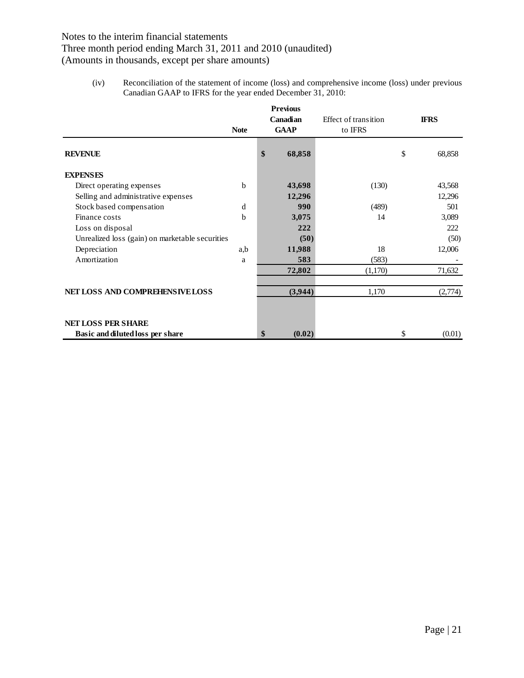## Three month period ending March 31, 2011 and 2010 (unaudited)

(Amounts in thousands, except per share amounts)

(iv) Reconciliation of the statement of income (loss) and comprehensive income (loss) under previous Canadian GAAP to IFRS for the year ended December 31, 2010:

|                                                 |              | <b>Previous</b><br>Canadian<br><b>GAAP</b> |         | Effect of transition | <b>IFRS</b> |         |
|-------------------------------------------------|--------------|--------------------------------------------|---------|----------------------|-------------|---------|
|                                                 | <b>Note</b>  |                                            |         | to IFRS              |             |         |
| <b>REVENUE</b>                                  |              | \$                                         | 68,858  |                      | \$          | 68,858  |
| <b>EXPENSES</b>                                 |              |                                            |         |                      |             |         |
| Direct operating expenses                       | <sub>b</sub> |                                            | 43,698  | (130)                |             | 43,568  |
| Selling and administrative expenses             |              |                                            | 12,296  |                      |             | 12,296  |
| Stock based compensation                        | d            |                                            | 990     | (489)                |             | 501     |
| Finance costs                                   | b            |                                            | 3,075   | 14                   |             | 3,089   |
| Loss on disposal                                |              |                                            | 222     |                      |             | 222     |
| Unrealized loss (gain) on marketable securities |              |                                            | (50)    |                      |             | (50)    |
| Depreciation                                    | a,b          |                                            | 11,988  | 18                   |             | 12,006  |
| Amortization                                    | a            |                                            | 583     | (583)                |             |         |
|                                                 |              |                                            | 72,802  | (1,170)              |             | 71,632  |
|                                                 |              |                                            |         |                      |             |         |
| NET LOSS AND COMPREHENSIVE LOSS                 |              |                                            | (3,944) | 1,170                |             | (2,774) |
|                                                 |              |                                            |         |                      |             |         |
| <b>NET LOSS PER SHARE</b>                       |              |                                            |         |                      |             |         |
| Basic and diluted loss per share                |              | \$                                         | (0.02)  |                      | \$          | (0.01)  |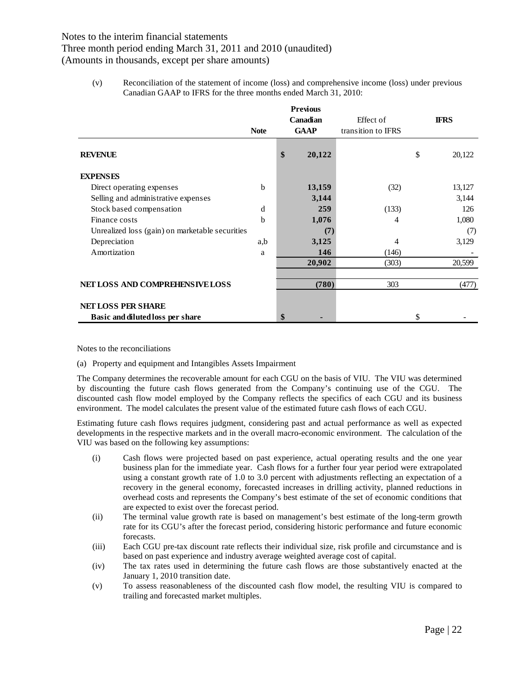Three month period ending March 31, 2011 and 2010 (unaudited)

(Amounts in thousands, except per share amounts)

(v) Reconciliation of the statement of income (loss) and comprehensive income (loss) under previous Canadian GAAP to IFRS for the three months ended March 31, 2010:

|                                                 | <b>Previous</b> |    |             |                    |    |             |
|-------------------------------------------------|-----------------|----|-------------|--------------------|----|-------------|
|                                                 |                 |    | Canadian    | Effect of          |    | <b>IFRS</b> |
|                                                 | <b>Note</b>     |    | <b>GAAP</b> | transition to IFRS |    |             |
| <b>REVENUE</b>                                  |                 | \$ | 20,122      |                    | \$ | 20,122      |
| <b>EXPENSES</b>                                 |                 |    |             |                    |    |             |
| Direct operating expenses                       | b               |    | 13,159      | (32)               |    | 13,127      |
| Selling and administrative expenses             |                 |    | 3,144       |                    |    | 3,144       |
| Stock based compensation                        | d               |    | 259         | (133)              |    | 126         |
| Finance costs                                   | b               |    | 1,076       | 4                  |    | 1,080       |
| Unrealized loss (gain) on marketable securities |                 |    | (7)         |                    |    | (7)         |
| Depreciation                                    | a,b             |    | 3,125       | 4                  |    | 3,129       |
| Amortization                                    | a               |    | 146         | (146)              |    |             |
|                                                 |                 |    | 20,902      | (303)              |    | 20,599      |
|                                                 |                 |    |             |                    |    |             |
| NET LOSS AND COMPREHENSIVE LOSS                 |                 |    | (780)       | 303                |    | (477)       |
| <b>NET LOSS PER SHARE</b>                       |                 |    |             |                    |    |             |
| Basic and diluted loss per share                |                 | \$ |             |                    | \$ |             |

Notes to the reconciliations

(a) Property and equipment and Intangibles Assets Impairment

The Company determines the recoverable amount for each CGU on the basis of VIU. The VIU was determined by discounting the future cash flows generated from the Company's continuing use of the CGU. The discounted cash flow model employed by the Company reflects the specifics of each CGU and its business environment. The model calculates the present value of the estimated future cash flows of each CGU.

Estimating future cash flows requires judgment, considering past and actual performance as well as expected developments in the respective markets and in the overall macro-economic environment. The calculation of the VIU was based on the following key assumptions:

- (i) Cash flows were projected based on past experience, actual operating results and the one year business plan for the immediate year. Cash flows for a further four year period were extrapolated using a constant growth rate of 1.0 to 3.0 percent with adjustments reflecting an expectation of a recovery in the general economy, forecasted increases in drilling activity, planned reductions in overhead costs and represents the Company's best estimate of the set of economic conditions that are expected to exist over the forecast period.
- (ii) The terminal value growth rate is based on management's best estimate of the long-term growth rate for its CGU's after the forecast period, considering historic performance and future economic forecasts.
- (iii) Each CGU pre-tax discount rate reflects their individual size, risk profile and circumstance and is based on past experience and industry average weighted average cost of capital.
- (iv) The tax rates used in determining the future cash flows are those substantively enacted at the January 1, 2010 transition date.
- (v) To assess reasonableness of the discounted cash flow model, the resulting VIU is compared to trailing and forecasted market multiples.